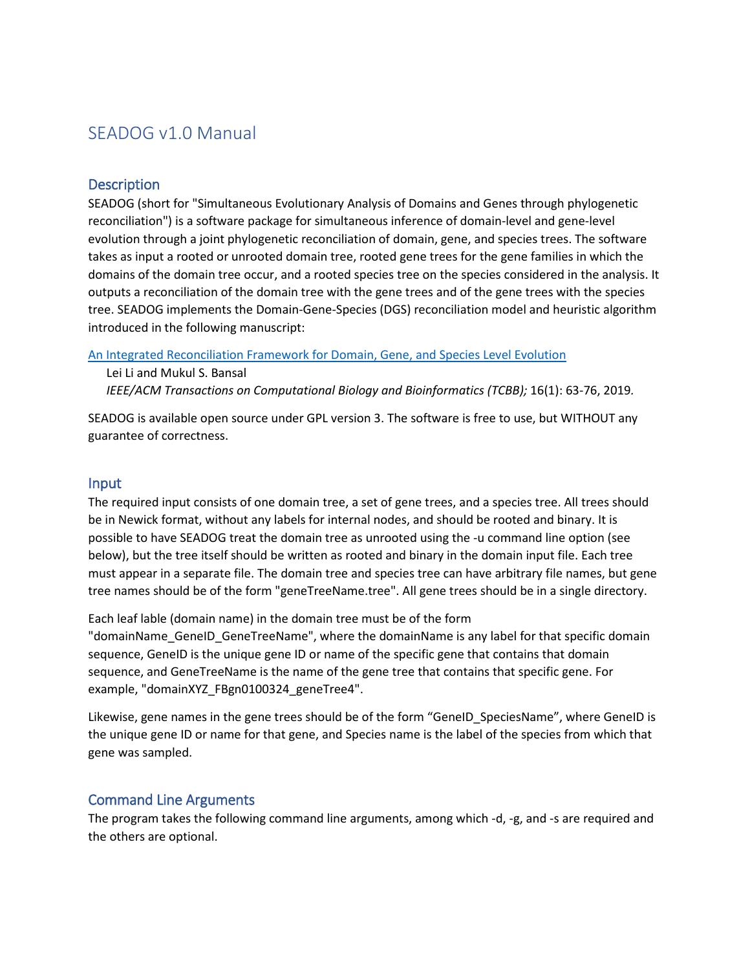# SEADOG v1.0 Manual

#### **Description**

SEADOG (short for "Simultaneous Evolutionary Analysis of Domains and Genes through phylogenetic reconciliation") is a software package for simultaneous inference of domain-level and gene-level evolution through a joint phylogenetic reconciliation of domain, gene, and species trees. The software takes as input a rooted or unrooted domain tree, rooted gene trees for the gene families in which the domains of the domain tree occur, and a rooted species tree on the species considered in the analysis. It outputs a reconciliation of the domain tree with the gene trees and of the gene trees with the species tree. SEADOG implements the Domain-Gene-Species (DGS) reconciliation model and heuristic algorithm introduced in the following manuscript:

#### [An Integrated Reconciliation Framework for Domain, Gene, and Species Level Evolution](https://doi.org/10.1109/TCBB.2018.2846253)

 Lei Li and Mukul S. Bansal  *IEEE/ACM Transactions on Computational Biology and Bioinformatics (TCBB);* 16(1): 63-76, 2019*.*

SEADOG is available open source under GPL version 3. The software is free to use, but WITHOUT any guarantee of correctness.

#### Input

The required input consists of one domain tree, a set of gene trees, and a species tree. All trees should be in Newick format, without any labels for internal nodes, and should be rooted and binary. It is possible to have SEADOG treat the domain tree as unrooted using the -u command line option (see below), but the tree itself should be written as rooted and binary in the domain input file. Each tree must appear in a separate file. The domain tree and species tree can have arbitrary file names, but gene tree names should be of the form "geneTreeName.tree". All gene trees should be in a single directory.

Each leaf lable (domain name) in the domain tree must be of the form

"domainName\_GeneID\_GeneTreeName", where the domainName is any label for that specific domain sequence, GeneID is the unique gene ID or name of the specific gene that contains that domain sequence, and GeneTreeName is the name of the gene tree that contains that specific gene. For example, "domainXYZ\_FBgn0100324\_geneTree4".

Likewise, gene names in the gene trees should be of the form "GeneID SpeciesName", where GeneID is the unique gene ID or name for that gene, and Species name is the label of the species from which that gene was sampled.

### Command Line Arguments

The program takes the following command line arguments, among which -d, -g, and -s are required and the others are optional.